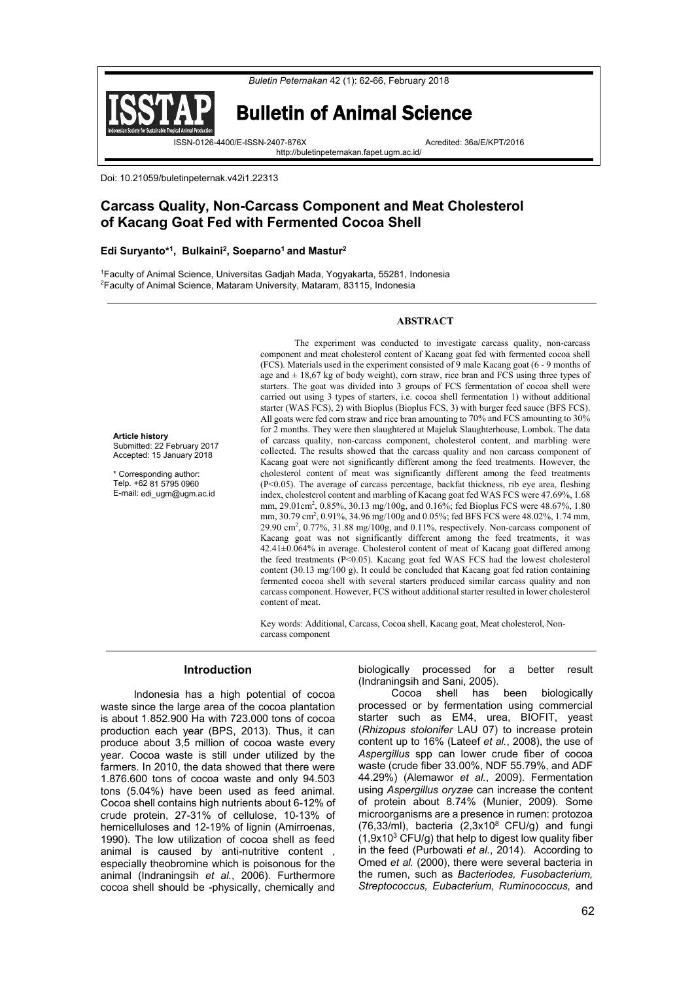



# Bulletin of Animal Science

ISSN-0126-4400/E-ISSN-2407-876X Acredited: 36a/E/KPT/2016

http://buletinpeternakan.fapet.ugm.ac.id/

Doi: 10.21059/buletinpeternak.v42i1.22313

# **Carcass Quality, Non-Carcass Component and Meat Cholesterol of Kacang Goat Fed with Fermented Cocoa Shell**

### **Edi Suryanto\*1, Bulkaini2, Soeparno1 and Mastur2**

1 Faculty of Animal Science, Universitas Gadjah Mada, Yogyakarta, 55281, Indonesia 2 Faculty of Animal Science, Mataram University, Mataram, 83115, Indonesia

## **ABSTRACT**

The experiment was conducted to investigate carcass quality, non-carcass

**Article history** Submitted: 22 February 2017 Accepted: 15 January 2018

\* Corresponding author: Telp. +62 81 5795 0960 E-mail: edi\_ugm@ugm.ac.id component and meat cholesterol content of Kacang goat fed with fermented cocoa shell (FCS). Materials used in the experiment consisted of 9 male Kacang goat (6 - 9 months of age and  $\pm$  18,67 kg of body weight), corn straw, rice bran and FCS using three types of starters. The goat was divided into 3 groups of FCS fermentation of cocoa shell were carried out using 3 types of starters, i.e. cocoa shell fermentation 1) without additional starter (WAS FCS), 2) with Bioplus (Bioplus FCS, 3) with burger feed sauce (BFS FCS). All goats were fed corn straw and rice bran amounting to 70% and FCS amounting to 30% for 2 months. They were then slaughtered at Majeluk Slaughterhouse, Lombok. The data of carcass quality, non-carcass component, cholesterol content, and marbling were collected. The results showed that the carcass quality and non carcass component of Kacang goat were not significantly different among the feed treatments. However, the cholesterol content of meat was significantly different among the feed treatments (P<0.05). The average of carcass percentage, backfat thickness, rib eye area, fleshing index, cholesterol content and marbling of Kacang goat fed WAS FCS were 47.69%, 1.68 mm, 29.01cm<sup>2</sup>, 0.85%, 30.13 mg/100g, and 0.16%; fed Bioplus FCS were 48.67%, 1.80 mm, 30.79 cm<sup>2</sup>, 0.91%, 34.96 mg/100g and 0.05%; fed BFS FCS were 48.02%, 1.74 mm, 29.90 cm2 , 0.77%, 31.88 mg/100g, and 0.11%, respectively. Non-carcass component of Kacang goat was not significantly different among the feed treatments, it was 42.41±0.064% in average. Cholesterol content of meat of Kacang goat differed among the feed treatments (P<0.05). Kacang goat fed WAS FCS had the lowest cholesterol content (30.13 mg/100 g). It could be concluded that Kacang goat fed ration containing fermented cocoa shell with several starters produced similar carcass quality and non carcass component. However, FCS without additional starter resulted in lower cholesterol content of meat.

Key words: Additional, Carcass, Cocoa shell, Kacang goat, Meat cholesterol, Noncarcass component

# **Introduction**

Indonesia has a high potential of cocoa waste since the large area of the cocoa plantation is about 1.852.900 Ha with 723.000 tons of cocoa production each year (BPS, 2013). Thus, it can produce about 3,5 million of cocoa waste every year. Cocoa waste is still under utilized by the farmers. In 2010, the data showed that there were 1.876.600 tons of cocoa waste and only 94.503 tons (5.04%) have been used as feed animal. Cocoa shell contains high nutrients about 6-12% of crude protein, 27-31% of cellulose, 10-13% of hemicelluloses and 12-19% of lignin (Amirroenas, 1990). The low utilization of cocoa shell as feed animal is caused by anti-nutritive content , especially theobromine which is poisonous for the animal (Indraningsih *et al.*, 2006). Furthermore cocoa shell should be -physically, chemically and

biologically processed for a better result (Indraningsih and Sani, 2005).

Cocoa shell has been biologically processed or by fermentation using commercial starter such as EM4, urea, BIOFIT, yeast (*Rhizopus stolonifer* LAU 07) to increase protein content up to 16% (Lateef *et al.*, 2008), the use of *Aspergillus* spp can lower crude fiber of cocoa waste (crude fiber 33.00%, NDF 55.79%, and ADF 44.29%) (Alemawor *et al.*, 2009). Fermentation using *Aspergillus oryzae* can increase the content of protein about 8.74% (Munier, 2009). Some microorganisms are a presence in rumen: protozoa  $(76,33/ml)$ , bacteria  $(2,3x10<sup>8</sup>$  CFU/g) and fungi  $(1,9x10^3 \text{ CFU/g})$  that help to digest low quality fiber in the feed (Purbowati *et al.*, 2014). According to Omed *et al.* (2000), there were several bacteria in the rumen, such as *Bacteriodes, Fusobacterium, Streptococcus, Eubacterium, Ruminococcus,* and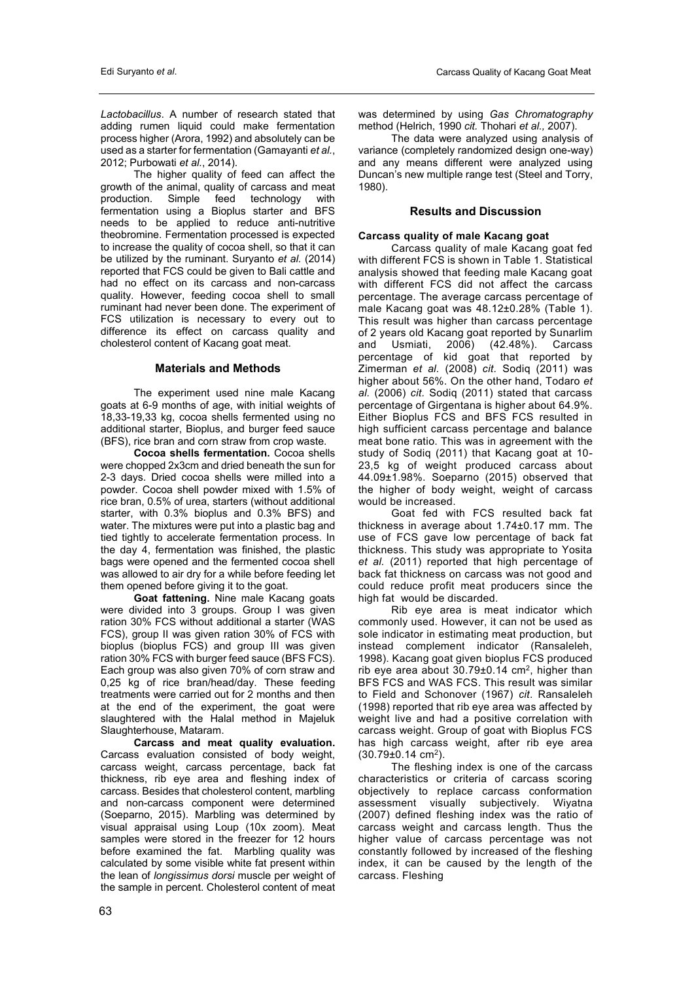*Lactobacillus*. A number of research stated that adding rumen liquid could make fermentation process higher (Arora, 1992) and absolutely can be used as a starter for fermentation (Gamayanti *et al.*, 2012; Purbowati *et al.*, 2014).

The higher quality of feed can affect the growth of the animal, quality of carcass and meat production. Simple feed technology with fermentation using a Bioplus starter and BFS needs to be applied to reduce anti-nutritive theobromine. Fermentation processed is expected to increase the quality of cocoa shell, so that it can be utilized by the ruminant. Suryanto *et al.* (2014) reported that FCS could be given to Bali cattle and had no effect on its carcass and non-carcass quality. However, feeding cocoa shell to small ruminant had never been done. The experiment of FCS utilization is necessary to every out to difference its effect on carcass quality and cholesterol content of Kacang goat meat.

# **Materials and Methods**

The experiment used nine male Kacang goats at 6-9 months of age, with initial weights of 18,33-19,33 kg, cocoa shells fermented using no additional starter, Bioplus, and burger feed sauce (BFS), rice bran and corn straw from crop waste.

**Cocoa shells fermentation.** Cocoa shells were chopped 2x3cm and dried beneath the sun for 2-3 days. Dried cocoa shells were milled into a powder. Cocoa shell powder mixed with 1.5% of rice bran, 0.5% of urea, starters (without additional starter, with 0.3% bioplus and 0.3% BFS) and water. The mixtures were put into a plastic bag and tied tightly to accelerate fermentation process. In the day 4, fermentation was finished, the plastic bags were opened and the fermented cocoa shell was allowed to air dry for a while before feeding let them opened before giving it to the goat.

**Goat fattening.** Nine male Kacang goats were divided into 3 groups. Group I was given ration 30% FCS without additional a starter (WAS FCS), group II was given ration 30% of FCS with bioplus (bioplus FCS) and group III was given ration 30% FCS with burger feed sauce (BFS FCS). Each group was also given 70% of corn straw and 0,25 kg of rice bran/head/day. These feeding treatments were carried out for 2 months and then at the end of the experiment, the goat were slaughtered with the Halal method in Majeluk Slaughterhouse, Mataram.

**Carcass and meat quality evaluation.** Carcass evaluation consisted of body weight, carcass weight, carcass percentage, back fat thickness, rib eye area and fleshing index of carcass. Besides that cholesterol content, marbling and non-carcass component were determined (Soeparno, 2015). Marbling was determined by visual appraisal using Loup (10x zoom). Meat samples were stored in the freezer for 12 hours before examined the fat. Marbling quality was calculated by some visible white fat present within the lean of *longissimus dorsi* muscle per weight of the sample in percent. Cholesterol content of meat

was determined by using *Gas Chromatography* method (Helrich, 1990 *cit.* Thohari *et al.,* 2007).

The data were analyzed using analysis of variance (completely randomized design one-way) and any means different were analyzed using Duncan's new multiple range test (Steel and Torry, 1980).

# **Results and Discussion**

# **Carcass quality of male Kacang goat**

Carcass quality of male Kacang goat fed with different FCS is shown in Table 1. Statistical analysis showed that feeding male Kacang goat with different FCS did not affect the carcass percentage. The average carcass percentage of male Kacang goat was 48.12±0.28% (Table 1). This result was higher than carcass percentage of 2 years old Kacang goat reported by Sunarlim<br>and Usmiati. 2006) (42.48%). Carcass and Usmiati, 2006) (42.48%). Carcass percentage of kid goat that reported by Zimerman *et al.* (2008) *cit.* Sodiq (2011) was higher about 56%. On the other hand, Todaro *et al.* (2006) *cit.* Sodiq (2011) stated that carcass percentage of Girgentana is higher about 64.9%. Either Bioplus FCS and BFS FCS resulted in high sufficient carcass percentage and balance meat bone ratio. This was in agreement with the study of Sodiq (2011) that Kacang goat at 10- 23,5 kg of weight produced carcass about 44.09±1.98%. Soeparno (2015) observed that the higher of body weight, weight of carcass would be increased.

Goat fed with FCS resulted back fat thickness in average about 1.74±0.17 mm. The use of FCS gave low percentage of back fat thickness. This study was appropriate to Yosita *et al.* (2011) reported that high percentage of back fat thickness on carcass was not good and could reduce profit meat producers since the high fat would be discarded.

Rib eye area is meat indicator which commonly used. However, it can not be used as sole indicator in estimating meat production, but instead complement indicator (Ransaleleh, 1998). Kacang goat given bioplus FCS produced rib eye area about  $30.79 \pm 0.14$  cm<sup>2</sup>, higher than BFS FCS and WAS FCS. This result was similar to Field and Schonover (1967) *cit*. Ransaleleh (1998) reported that rib eye area was affected by weight live and had a positive correlation with carcass weight. Group of goat with Bioplus FCS has high carcass weight, after rib eye area  $(30.79 \pm 0.14 \text{ cm}^2)$ .

The fleshing index is one of the carcass characteristics or criteria of carcass scoring objectively to replace carcass conformation assessment visually subjectively. Wiyatna (2007) defined fleshing index was the ratio of carcass weight and carcass length. Thus the higher value of carcass percentage was not constantly followed by increased of the fleshing index, it can be caused by the length of the carcass. Fleshing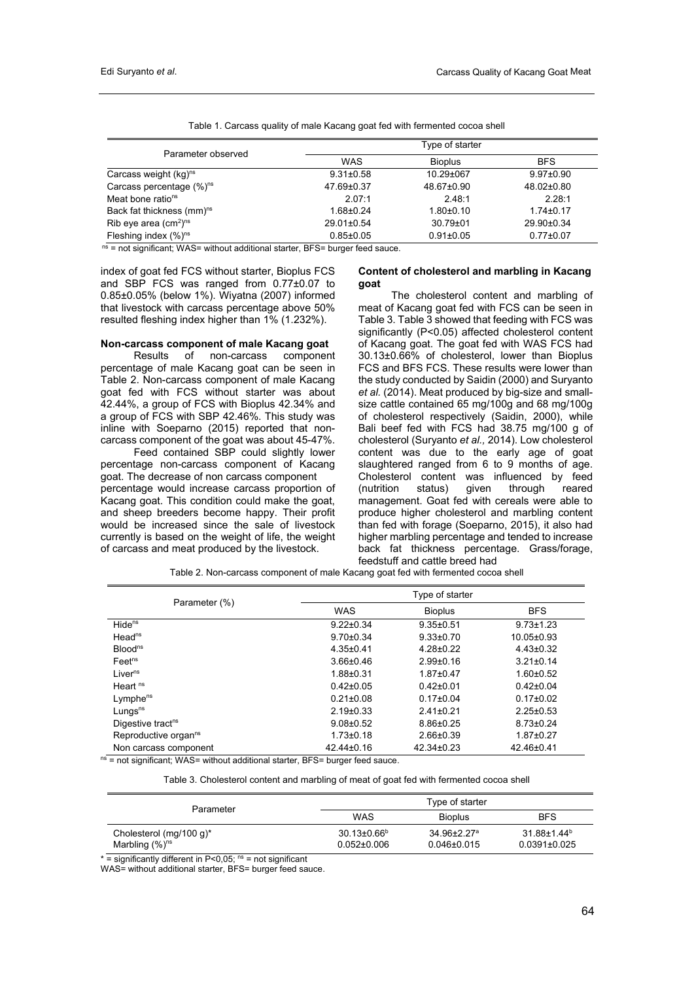| Parameter observed                    | Type of starter |                 |                 |
|---------------------------------------|-----------------|-----------------|-----------------|
|                                       | <b>WAS</b>      | <b>Bioplus</b>  | <b>BFS</b>      |
| Carcass weight $(kg)^{ns}$            | $9.31 \pm 0.58$ | 10.29±067       | $9.97 \pm 0.90$ |
| Carcass percentage $(\%)^{ns}$        | 47.69±0.37      | 48.67±0.90      | 48.02±0.80      |
| Meat bone ratio <sup>ns</sup>         | 2.07:1          | 2.48:1          | 2.28:1          |
| Back fat thickness (mm) <sup>ns</sup> | $1.68 + 0.24$   | $1.80{\pm}0.10$ | $1.74 \pm 0.17$ |
| Rib eye area $\rm (cm2)ns$            | 29.01±0.54      | 30.79±01        | 29.90±0.34      |
| Fleshing index $(\%)^{ns}$            | $0.85 + 0.05$   | $0.91 \pm 0.05$ | $0.77 + 0.07$   |

Table 1. Carcass quality of male Kacang goat fed with fermented cocoa shell

 $n<sub>s</sub>$  = not significant; WAS= without additional starter, BFS= burger feed sauce.

index of goat fed FCS without starter, Bioplus FCS and SBP FCS was ranged from 0.77±0.07 to 0.85±0.05% (below 1%). Wiyatna (2007) informed that livestock with carcass percentage above 50% resulted fleshing index higher than 1% (1.232%).

#### **Non-carcass component of male Kacang goat**

Results of non-carcass component percentage of male Kacang goat can be seen in Table 2. Non-carcass component of male Kacang goat fed with FCS without starter was about 42.44%, a group of FCS with Bioplus 42.34% and a group of FCS with SBP 42.46%. This study was inline with Soeparno (2015) reported that noncarcass component of the goat was about 45-47%.

Feed contained SBP could slightly lower percentage non-carcass component of Kacang goat. The decrease of non carcass component percentage would increase carcass proportion of Kacang goat. This condition could make the goat, and sheep breeders become happy. Their profit would be increased since the sale of livestock currently is based on the weight of life, the weight of carcass and meat produced by the livestock.

### **Content of cholesterol and marbling in Kacang goat**

The cholesterol content and marbling of meat of Kacang goat fed with FCS can be seen in Table 3. Table 3 showed that feeding with FCS was significantly (P<0.05) affected cholesterol content of Kacang goat. The goat fed with WAS FCS had 30.13±0.66% of cholesterol, lower than Bioplus FCS and BFS FCS. These results were lower than the study conducted by Saidin (2000) and Suryanto *et al.* (2014). Meat produced by big-size and smallsize cattle contained 65 mg/100g and 68 mg/100g of cholesterol respectively (Saidin, 2000), while Bali beef fed with FCS had 38.75 mg/100 g of cholesterol (Suryanto *et al.,* 2014). Low cholesterol content was due to the early age of goat slaughtered ranged from 6 to 9 months of age. Cholesterol content was influenced by feed (nutrition status) given through reared management. Goat fed with cereals were able to produce higher cholesterol and marbling content than fed with forage (Soeparno, 2015), it also had higher marbling percentage and tended to increase back fat thickness percentage. Grass/forage, feedstuff and cattle breed had

Table 2. Non-carcass component of male Kacang goat fed with fermented cocoa shell

| Parameter (%)                    | Type of starter |                  |                 |
|----------------------------------|-----------------|------------------|-----------------|
|                                  | WAS             | <b>Bioplus</b>   | <b>BFS</b>      |
| Hide <sup>ns</sup>               | $9.22 \pm 0.34$ | $9.35 \pm 0.51$  | $9.73 \pm 1.23$ |
| Head <sup>ns</sup>               | $9.70 \pm 0.34$ | $9.33 \pm 0.70$  | 10.05±0.93      |
| Blood <sup>ns</sup>              | $4.35 \pm 0.41$ | $4.28 \pm 0.22$  | $4.43 \pm 0.32$ |
| Feet <sup>ns</sup>               | $3.66 \pm 0.46$ | $2.99 + 0.16$    | $3.21 \pm 0.14$ |
| Liver <sup>ns</sup>              | $1.88 + 0.31$   | $1.87 \pm 0.47$  | $1.60 \pm 0.52$ |
| Heart <sup>ns</sup>              | $0.42\pm0.05$   | $0.42 \pm 0.01$  | $0.42 \pm 0.04$ |
| Lymphe <sup>ns</sup>             | $0.21 \pm 0.08$ | $0.17 \pm 0.04$  | $0.17 \pm 0.02$ |
| Lungs <sup>ns</sup>              | $2.19 \pm 0.33$ | $2.41 \pm 0.21$  | $2.25 \pm 0.53$ |
| Digestive tract <sup>ns</sup>    | $9.08 + 0.52$   | $8.86 \pm 0.25$  | $8.73 \pm 0.24$ |
| Reproductive organ <sup>ns</sup> | $1.73 \pm 0.18$ | $2.66 \pm 0.39$  | $1.87 \pm 0.27$ |
| Non carcass component            | 42.44±0.16      | $42.34 \pm 0.23$ | 42.46±0.41      |

 $ns = not$  significant; WAS= without additional starter, BFS= burger feed sauce.

Table 3. Cholesterol content and marbling of meat of goat fed with fermented cocoa shell

| Parameter                                       | Type of starter                             |                                                    |                                                     |
|-------------------------------------------------|---------------------------------------------|----------------------------------------------------|-----------------------------------------------------|
|                                                 | WAS                                         | <b>Bioplus</b>                                     | <b>BFS</b>                                          |
| Cholesterol (mg/100 g)*<br>Marbling $(\%)^{ns}$ | $30.13\pm0.66^{\circ}$<br>$0.052{\pm}0.006$ | $34.96 \pm 2.27$ <sup>a</sup><br>$0.046 \pm 0.015$ | $31.88 \pm 1.44$ <sup>b</sup><br>$0.0391 \pm 0.025$ |

 $*$  = significantly different in P<0,05;  $ns$  = not significant

WAS= without additional starter, BFS= burger feed sauce.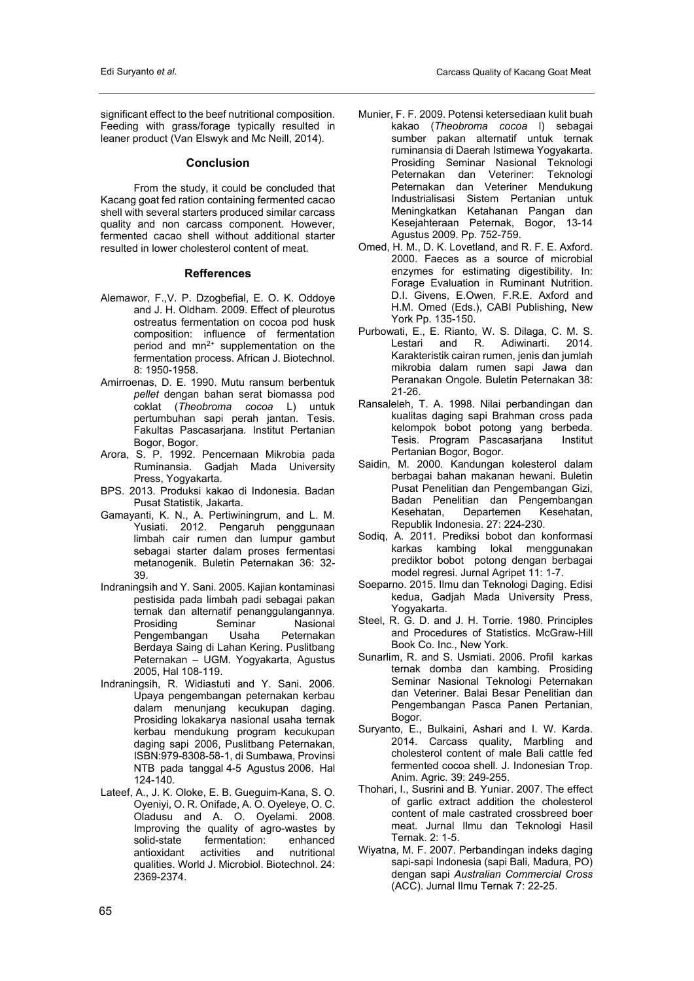significant effect to the beef nutritional composition. Feeding with grass/forage typically resulted in leaner product (Van Elswyk and Mc Neill, 2014).

## **Conclusion**

From the study, it could be concluded that Kacang goat fed ration containing fermented cacao shell with several starters produced similar carcass quality and non carcass component. However, fermented cacao shell without additional starter resulted in lower cholesterol content of meat.

#### **Refferences**

- Alemawor, F.,V. P. Dzogbefial, E. O. K. Oddoye and J. H. Oldham. 2009. Effect of pleurotus ostreatus fermentation on cocoa pod husk composition: influence of fermentation period and  $mn^{2+}$  supplementation on the fermentation process. African J. Biotechnol. 8: 1950-1958.
- Amirroenas, D. E. 1990. Mutu ransum berbentuk *pellet* dengan bahan serat biomassa pod coklat (*Theobroma cocoa* L) untuk pertumbuhan sapi perah jantan. Tesis. Fakultas Pascasarjana. Institut Pertanian Bogor, Bogor.
- Arora, S. P. 1992. Pencernaan Mikrobia pada Ruminansia. Gadjah Mada University Press, Yogyakarta.
- BPS. 2013. Produksi kakao di Indonesia. Badan Pusat Statistik, Jakarta.
- Gamayanti, K. N., A. Pertiwiningrum, and L. M. Yusiati. 2012. Pengaruh penggunaan limbah cair rumen dan lumpur gambut sebagai starter dalam proses fermentasi metanogenik. Buletin Peternakan 36: 32- 39.
- Indraningsih and Y. Sani. 2005. Kajian kontaminasi pestisida pada limbah padi sebagai pakan ternak dan alternatif penanggulangannya. Prosiding Seminar Nasional Pengembangan Berdaya Saing di Lahan Kering. Puslitbang Peternakan – UGM. Yogyakarta, Agustus 2005, Hal 108-119.
- Indraningsih, R. Widiastuti and Y. Sani. 2006. Upaya pengembangan peternakan kerbau dalam menunjang kecukupan daging. Prosiding lokakarya nasional usaha ternak kerbau mendukung program kecukupan daging sapi 2006, Puslitbang Peternakan, ISBN:979-8308-58-1, di Sumbawa, Provinsi NTB pada tanggal 4-5 Agustus 2006. Hal 124-140*.*
- Lateef, A., J. K. Oloke, E. B. Gueguim-Kana, S. O. Oyeniyi, O. R. Onifade, A. O. Oyeleye, O. C. Oladusu and A. O. Oyelami. 2008. Improving the quality of agro-wastes by solid-state fermentation: enhanced<br>antioxidant activities and nutritional antioxidant activities and nutritional qualities. World J. Microbiol. Biotechnol. 24: 2369-2374.
- Munier, F. F. 2009. Potensi ketersediaan kulit buah kakao (*Theobroma cocoa* l) sebagai sumber pakan alternatif untuk ternak ruminansia di Daerah Istimewa Yogyakarta. Prosiding Seminar Nasional Teknologi Peternakan dan Veteriner: Teknologi Peternakan dan Veteriner Mendukung Industrialisasi Sistem Pertanian untuk Meningkatkan Ketahanan Pangan dan Kesejahteraan Peternak, Bogor, 13-14 Agustus 2009. Pp. 752-759.
- Omed, H. M., D. K. Lovetland, and R. F. E. Axford. 2000. Faeces as a source of microbial enzymes for estimating digestibility. In: Forage Evaluation in Ruminant Nutrition. D.I. Givens, E.Owen, F.R.E. Axford and H.M. Omed (Eds.), CABI Publishing, New York Pp. 135-150.
- Purbowati, E., E. Rianto, W. S. Dilaga, C. M. S. Lestari and R. Adiwinarti. 2014. Karakteristik cairan rumen, jenis dan jumlah mikrobia dalam rumen sapi Jawa dan Peranakan Ongole. Buletin Peternakan 38: 21-26.
- Ransaleleh, T. A. 1998. Nilai perbandingan dan kualitas daging sapi Brahman cross pada kelompok bobot potong yang berbeda. Tesis. Program Pascasarjana Institut Pertanian Bogor, Bogor.
- Saidin, M. 2000. Kandungan kolesterol dalam berbagai bahan makanan hewani. Buletin Pusat Penelitian dan Pengembangan Gizi, Badan Penelitian dan Pengembangan Kesehatan, Departemen Kesehatan, Republik Indonesia. 27: 224-230.
- Sodiq, A. 2011. Prediksi bobot dan konformasi karkas kambing lokal menggunakan prediktor bobot potong dengan berbagai model regresi. Jurnal Agripet 11: 1-7.
- Soeparno. 2015. Ilmu dan Teknologi Daging. Edisi kedua, Gadjah Mada University Press, Yogyakarta.
- Steel, R. G. D. and J. H. Torrie. 1980. Principles and Procedures of Statistics. McGraw-Hill Book Co. Inc., New York.
- Sunarlim, R. and S. Usmiati. 2006. Profil karkas ternak domba dan kambing. Prosiding Seminar Nasional Teknologi Peternakan dan Veteriner. Balai Besar Penelitian dan Pengembangan Pasca Panen Pertanian, Bogor.
- Suryanto, E., Bulkaini, Ashari and I. W. Karda. 2014. Carcass quality, Marbling and cholesterol content of male Bali cattle fed fermented cocoa shell. J. Indonesian Trop. Anim. Agric. 39: 249-255.
- Thohari, I., Susrini and B. Yuniar. 2007. The effect of garlic extract addition the cholesterol content of male castrated crossbreed boer meat. Jurnal Ilmu dan Teknologi Hasil Ternak. 2: 1-5.
- Wiyatna, M. F. 2007. Perbandingan indeks daging sapi-sapi Indonesia (sapi Bali, Madura, PO) dengan sapi *Australian Commercial Cross* (ACC). Jurnal Ilmu Ternak 7: 22-25.